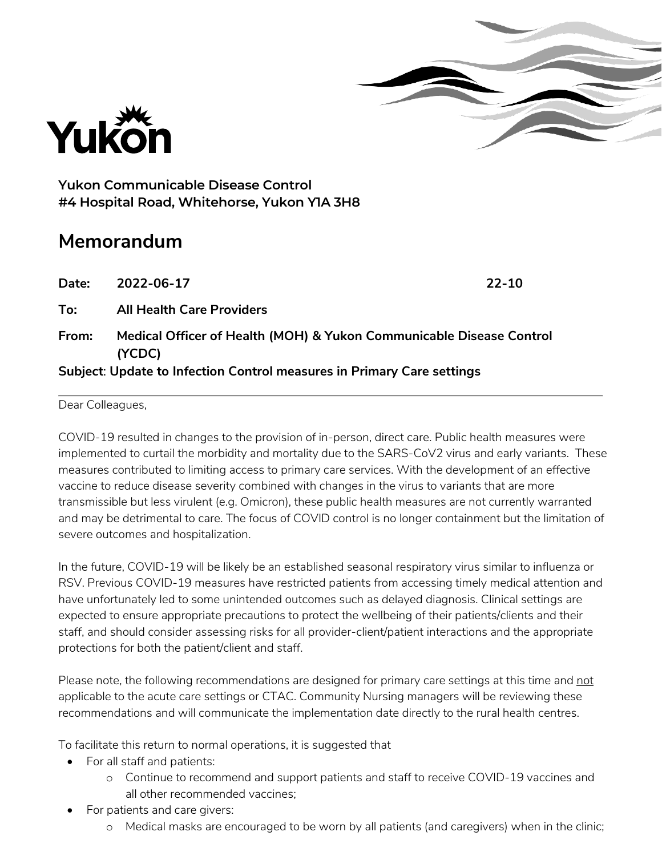



**Yukon Communicable Disease Control #4 Hospital Road, Whitehorse, Yukon Y1A 3H8**

## **Memorandum**

| Date:                                                                  | 2022-06-17                                                                     | $22 - 10$ |
|------------------------------------------------------------------------|--------------------------------------------------------------------------------|-----------|
| To:                                                                    | <b>All Health Care Providers</b>                                               |           |
| From:                                                                  | Medical Officer of Health (MOH) & Yukon Communicable Disease Control<br>(YCDC) |           |
| Subject: Update to Infection Control measures in Primary Care settings |                                                                                |           |

## Dear Colleagues,

COVID-19 resulted in changes to the provision of in-person, direct care. Public health measures were implemented to curtail the morbidity and mortality due to the SARS-CoV2 virus and early variants. These measures contributed to limiting access to primary care services. With the development of an effective vaccine to reduce disease severity combined with changes in the virus to variants that are more transmissible but less virulent (e.g. Omicron), these public health measures are not currently warranted and may be detrimental to care. The focus of COVID control is no longer containment but the limitation of severe outcomes and hospitalization.

In the future, COVID-19 will be likely be an established seasonal respiratory virus similar to influenza or RSV. Previous COVID-19 measures have restricted patients from accessing timely medical attention and have unfortunately led to some unintended outcomes such as delayed diagnosis. Clinical settings are expected to ensure appropriate precautions to protect the wellbeing of their patients/clients and their staff, and should consider assessing risks for all provider-client/patient interactions and the appropriate protections for both the patient/client and staff.

Please note, the following recommendations are designed for primary care settings at this time and not applicable to the acute care settings or CTAC. Community Nursing managers will be reviewing these recommendations and will communicate the implementation date directly to the rural health centres.

To facilitate this return to normal operations, it is suggested that

- For all staff and patients:
	- o Continue to recommend and support patients and staff to receive COVID-19 vaccines and all other recommended vaccines;
- For patients and care givers:
	- o Medical masks are encouraged to be worn by all patients (and caregivers) when in the clinic;